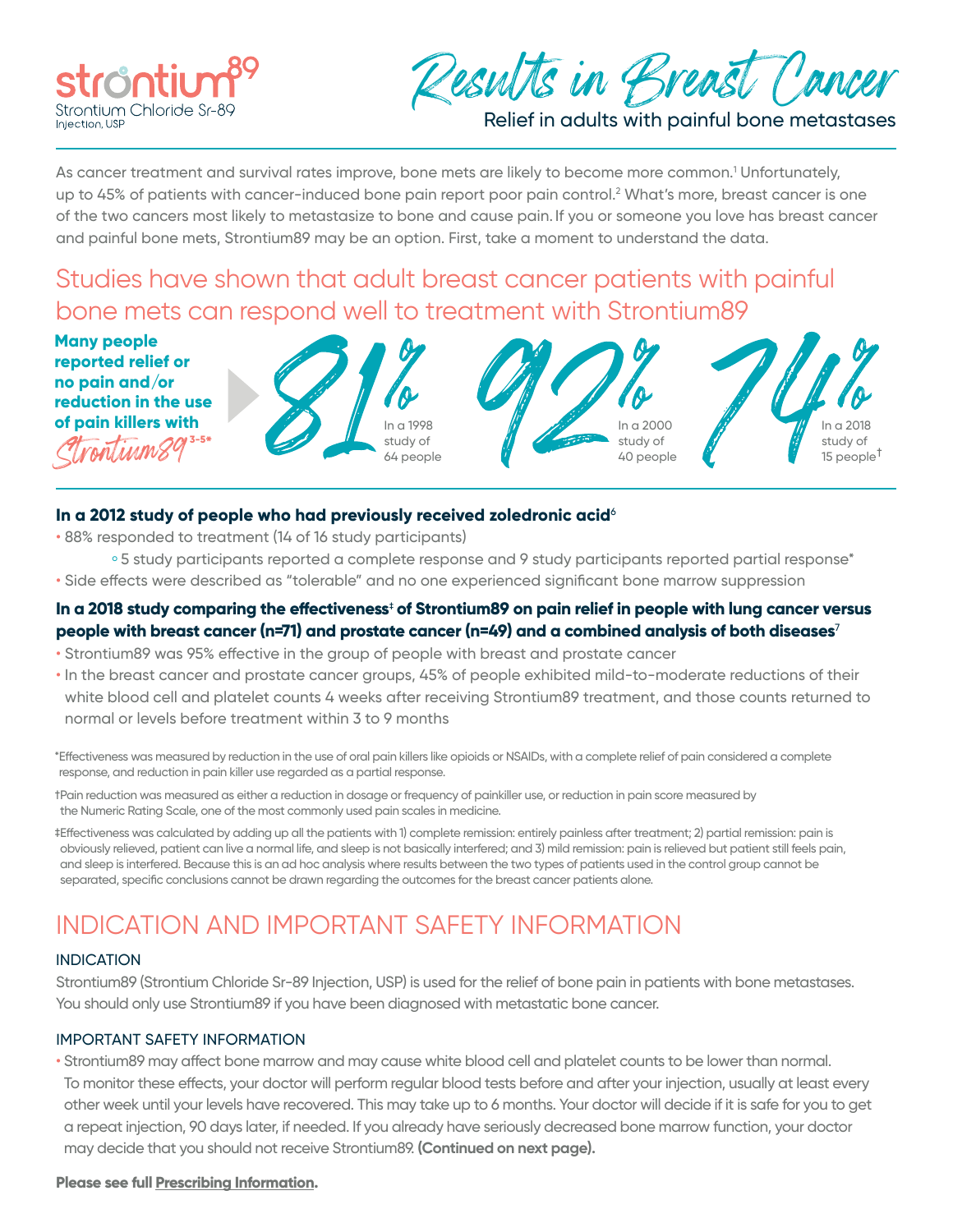



Relief in adults with painful bone metastases

As cancer treatment and survival rates improve, bone mets are likely to become more common.<sup>1</sup> Unfortunately, up to 45% of patients with cancer-induced bone pain report poor pain control.<sup>2</sup> What's more, breast cancer is one of the two cancers most likely to metastasize to bone and cause pain. If you or someone you love has breast cancer and painful bone mets, Strontium89 may be an option. First, take a moment to understand the data.

# Studies have shown that adult breast cancer patients with painful bone mets can respond well to treatment with Strontium89

**Many people reported relief or no pain and/or reduction in the use of pain killers with 3-5\*** Strontium89







## **In a 2012 study of people who had previously received zoledronic acid**<sup>6</sup>

• 88% responded to treatment (14 of 16 study participants)

- <sup>o</sup> 5 study participants reported a complete response and 9 study participants reported partial response\*
- Side effects were described as "tolerable" and no one experienced significant bone marrow suppression

# **In a 2018 study comparing the effectiveness**‡  **of Strontium89 on pain relief in people with lung cancer versus people with breast cancer (n=71) and prostate cancer (n=49) and a combined analysis of both diseases**<sup>7</sup>

- Strontium89 was 95% effective in the group of people with breast and prostate cancer
- In the breast cancer and prostate cancer groups, 45% of people exhibited mild-to-moderate reductions of their white blood cell and platelet counts 4 weeks after receiving Strontium89 treatment, and those counts returned to normal or levels before treatment within 3 to 9 months

\*Effectiveness was measured by reduction in the use of oral pain killers like opioids or NSAIDs, with a complete relief of pain considered a complete response, and reduction in pain killer use regarded as a partial response.

- †Pain reduction was measured as either a reduction in dosage or frequency of painkiller use, or reduction in pain score measured by the Numeric Rating Scale, one of the most commonly used pain scales in medicine.
- ‡Effectiveness was calculated by adding up all the patients with 1) complete remission: entirely painless after treatment; 2) partial remission: pain is obviously relieved, patient can live a normal life, and sleep is not basically interfered; and 3) mild remission: pain is relieved but patient still feels pain, and sleep is interfered. Because this is an ad hoc analysis where results between the two types of patients used in the control group cannot be separated, specific conclusions cannot be drawn regarding the outcomes for the breast cancer patients alone.

# INDICATION AND IMPORTANT SAFETY INFORMATION

## INDICATION

Strontium89 (Strontium Chloride Sr-89 Injection, USP) is used for the relief of bone pain in patients with bone metastases. You should only use Strontium89 if you have been diagnosed with metastatic bone cancer.

## IMPORTANT SAFETY INFORMATION

• Strontium89 may affect bone marrow and may cause white blood cell and platelet counts to be lower than normal. To monitor these effects, your doctor will perform regular blood tests before and after your injection, usually at least every other week until your levels have recovered. This may take up to 6 months. Your doctor will decide if it is safe for you to get a repeat injection, 90 days later, if needed. If you already have seriously decreased bone marrow function, your doctor may decide that you should not receive Strontium89. **(Continued on next page).**

#### **Please see full [Prescribing Information.](https://strontium89.com/PI)**